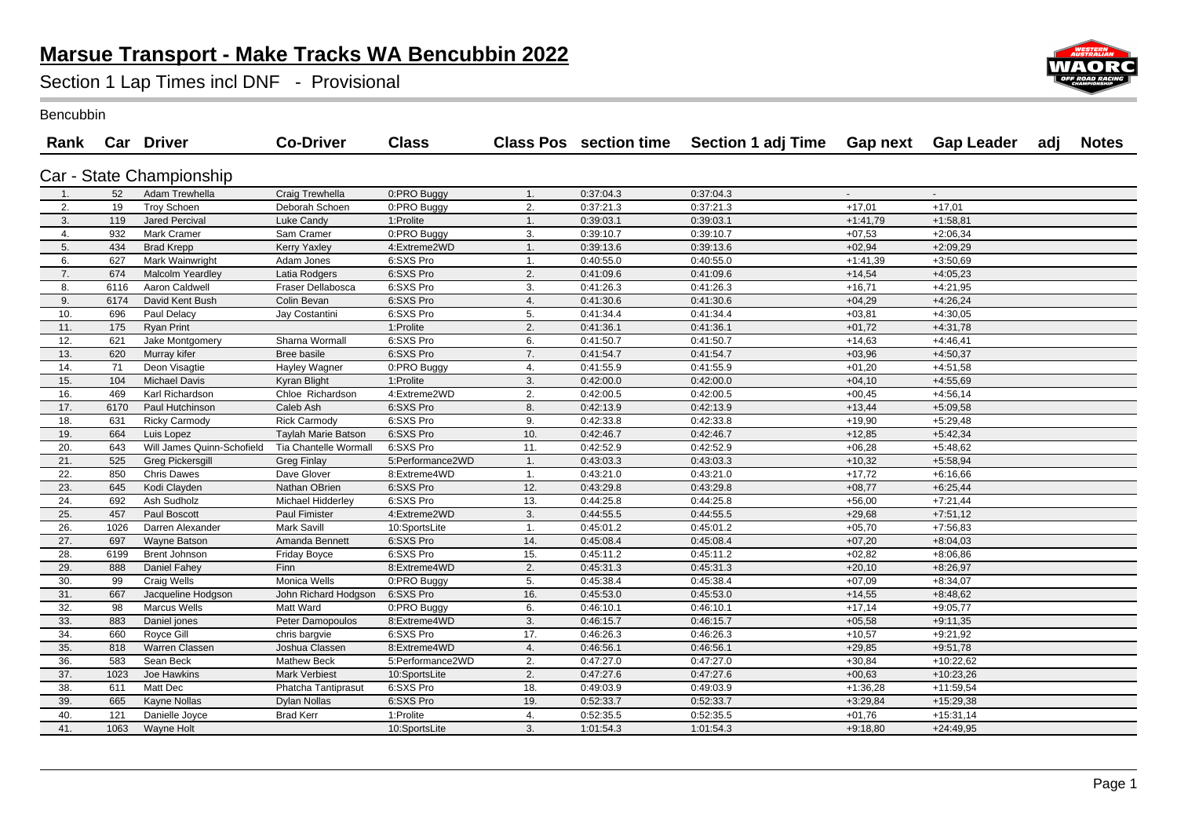## **Marsue Transport - Make Tracks WA Bencubbin 2022**

Section 1 Lap Times incl DNF - Provisional



Bencubbin

|     |      | Rank Car Driver            | <b>Co-Driver</b>      | <b>Class</b>     |                |           | Class Pos section time  Section 1 adj Time  Gap next  Gap Leader  adj |            |             | <b>Notes</b> |
|-----|------|----------------------------|-----------------------|------------------|----------------|-----------|-----------------------------------------------------------------------|------------|-------------|--------------|
|     |      | Car - State Championship   |                       |                  |                |           |                                                                       |            |             |              |
| 1.  | 52   | Adam Trewhella             | Craig Trewhella       | 0:PRO Buggy      | 1.             | 0:37:04.3 | 0:37:04.3                                                             | $\omega$   | $\sim$      |              |
| 2.  | 19   | <b>Troy Schoen</b>         | Deborah Schoen        | 0:PRO Buggy      | 2.             | 0:37:21.3 | 0:37:21.3                                                             | $+17,01$   | $+17,01$    |              |
| 3.  | 119  | Jared Percival             | Luke Candy            | 1:Prolite        | 1.             | 0:39:03.1 | 0:39:03.1                                                             | $+1:41,79$ | $+1:58,81$  |              |
| 4.  | 932  | Mark Cramer                | Sam Cramer            | 0:PRO Buggy      | 3.             | 0:39:10.7 | 0:39:10.7                                                             | $+07,53$   | $+2:06,34$  |              |
| 5.  | 434  | <b>Brad Krepp</b>          | <b>Kerry Yaxley</b>   | 4:Extreme2WD     | $\mathbf{1}$ . | 0:39:13.6 | 0:39:13.6                                                             | $+02,94$   | $+2:09,29$  |              |
| 6.  | 627  | Mark Wainwright            | Adam Jones            | 6:SXS Pro        | 1.             | 0:40:55.0 | 0:40:55.0                                                             | $+1:41,39$ | $+3:50,69$  |              |
| 7.  | 674  | Malcolm Yeardley           | Latia Rodgers         | 6:SXS Pro        | 2.             | 0:41:09.6 | 0:41:09.6                                                             | $+14,54$   | $+4:05,23$  |              |
| 8.  | 6116 | Aaron Caldwell             | Fraser Dellabosca     | 6:SXS Pro        | 3.             | 0:41:26.3 | 0:41:26.3                                                             | $+16,71$   | $+4:21,95$  |              |
| 9.  | 6174 | David Kent Bush            | Colin Bevan           | 6:SXS Pro        | 4.             | 0:41:30.6 | 0:41:30.6                                                             | $+04,29$   | $+4:26,24$  |              |
| 10. | 696  | Paul Delacy                | Jay Costantini        | 6:SXS Pro        | 5.             | 0:41:34.4 | 0:41:34.4                                                             | $+03,81$   | $+4:30,05$  |              |
| 11. | 175  | <b>Ryan Print</b>          |                       | 1:Prolite        | 2.             | 0:41:36.1 | 0:41:36.1                                                             | $+01,72$   | $+4:31,78$  |              |
| 12. | 621  | Jake Montgomery            | Sharna Wormall        | 6:SXS Pro        | 6.             | 0:41:50.7 | 0:41:50.7                                                             | $+14,63$   | $+4:46,41$  |              |
| 13. | 620  | Murray kifer               | Bree basile           | 6:SXS Pro        | 7.             | 0:41:54.7 | 0:41:54.7                                                             | $+03,96$   | $+4:50,37$  |              |
| 14. | 71   | Deon Visagtie              | Hayley Wagner         | 0:PRO Buggy      | 4.             | 0:41:55.9 | 0:41:55.9                                                             | $+01,20$   | $+4:51,58$  |              |
| 15. | 104  | <b>Michael Davis</b>       | Kyran Blight          | 1:Prolite        | 3.             | 0:42:00.0 | 0:42:00.0                                                             | $+04,10$   | $+4:55,69$  |              |
| 16. | 469  | Karl Richardson            | Chloe Richardson      | 4:Extreme2WD     | 2.             | 0:42:00.5 | 0:42:00.5                                                             | $+00,45$   | $+4:56,14$  |              |
| 17. | 6170 | Paul Hutchinson            | Caleb Ash             | 6:SXS Pro        | 8.             | 0:42:13.9 | 0:42:13.9                                                             | $+13,44$   | $+5:09,58$  |              |
| 18. | 631  | <b>Ricky Carmody</b>       | <b>Rick Carmody</b>   | 6:SXS Pro        | 9.             | 0:42:33.8 | 0:42:33.8                                                             | $+19,90$   | $+5:29,48$  |              |
| 19. | 664  | Luis Lopez                 | Taylah Marie Batson   | 6:SXS Pro        | 10.            | 0:42:46.7 | 0:42:46.7                                                             | $+12,85$   | $+5:42,34$  |              |
| 20. | 643  | Will James Quinn-Schofield | Tia Chantelle Wormall | 6:SXS Pro        | 11.            | 0:42:52.9 | 0:42:52.9                                                             | $+06,28$   | $+5:48,62$  |              |
| 21. | 525  | <b>Greg Pickersgill</b>    | <b>Greg Finlay</b>    | 5:Performance2WD | 1.             | 0:43:03.3 | 0:43:03.3                                                             | $+10,32$   | $+5:58,94$  |              |
| 22. | 850  | <b>Chris Dawes</b>         | Dave Glover           | 8:Extreme4WD     | -1.            | 0:43:21.0 | 0:43:21.0                                                             | $+17,72$   | $+6:16,66$  |              |
| 23. | 645  | Kodi Clayden               | Nathan OBrien         | 6:SXS Pro        | 12.            | 0:43:29.8 | 0:43:29.8                                                             | $+08,77$   | $+6:25,44$  |              |
| 24. | 692  | Ash Sudholz                | Michael Hidderley     | 6:SXS Pro        | 13.            | 0:44:25.8 | 0:44:25.8                                                             | $+56,00$   | $+7:21,44$  |              |
| 25. | 457  | Paul Boscott               | Paul Fimister         | 4:Extreme2WD     | 3.             | 0:44:55.5 | 0:44:55.5                                                             | $+29,68$   | $+7:51,12$  |              |
| 26. | 1026 | Darren Alexander           | Mark Savill           | 10:SportsLite    | 1.             | 0:45:01.2 | 0:45:01.2                                                             | $+05,70$   | $+7:56,83$  |              |
| 27. | 697  | Wayne Batson               | Amanda Bennett        | 6:SXS Pro        | 14.            | 0:45:08.4 | 0:45:08.4                                                             | $+07,20$   | $+8:04,03$  |              |
| 28. | 6199 | Brent Johnson              | <b>Friday Boyce</b>   | 6:SXS Pro        | 15.            | 0:45:11.2 | 0:45:11.2                                                             | $+02,82$   | $+8:06,86$  |              |
| 29. | 888  | Daniel Fahey               | Finn                  | 8:Extreme4WD     | 2.             | 0:45:31.3 | 0:45:31.3                                                             | $+20,10$   | $+8:26,97$  |              |
| 30. | 99   | Craig Wells                | Monica Wells          | 0:PRO Buggy      | 5.             | 0:45:38.4 | 0:45:38.4                                                             | $+07,09$   | $+8:34,07$  |              |
| 31. | 667  | Jacqueline Hodgson         | John Richard Hodgson  | 6:SXS Pro        | 16.            | 0:45:53.0 | 0:45:53.0                                                             | $+14,55$   | $+8:48,62$  |              |
| 32. | 98   | <b>Marcus Wells</b>        | Matt Ward             | 0:PRO Buggy      | 6.             | 0:46:10.1 | 0:46:10.1                                                             | $+17,14$   | $+9:05,77$  |              |
| 33. | 883  | Daniel jones               | Peter Damopoulos      | 8:Extreme4WD     | 3.             | 0:46:15.7 | 0:46:15.7                                                             | $+05,58$   | $+9:11,35$  |              |
| 34. | 660  | Royce Gill                 | chris bargvie         | 6:SXS Pro        | 17.            | 0:46:26.3 | 0:46:26.3                                                             | $+10,57$   | $+9:21,92$  |              |
| 35. | 818  | Warren Classen             | Joshua Classen        | 8:Extreme4WD     | 4.             | 0:46:56.1 | 0:46:56.1                                                             | $+29,85$   | $+9:51,78$  |              |
| 36. | 583  | Sean Beck                  | Mathew Beck           | 5:Performance2WD | 2.             | 0:47:27.0 | 0:47:27.0                                                             | $+30,84$   | $+10:22,62$ |              |
| 37. | 1023 | Joe Hawkins                | <b>Mark Verbiest</b>  | 10:SportsLite    | 2.             | 0:47:27.6 | 0:47:27.6                                                             | $+00,63$   | $+10:23,26$ |              |
| 38. | 611  | Matt Dec                   | Phatcha Tantiprasut   | 6:SXS Pro        | 18.            | 0:49:03.9 | 0:49:03.9                                                             | $+1:36,28$ | $+11:59,54$ |              |
| 39. | 665  | Kayne Nollas               | Dylan Nollas          | 6:SXS Pro        | 19.            | 0:52:33.7 | 0:52:33.7                                                             | $+3:29,84$ | $+15:29,38$ |              |
| 40. | 121  | Danielle Joyce             | <b>Brad Kerr</b>      | 1:Prolite        | 4.             | 0:52:35.5 | 0:52:35.5                                                             | $+01,76$   | $+15:31,14$ |              |
| 41. | 1063 | Wayne Holt                 |                       | 10:SportsLite    | 3.             | 1:01:54.3 | 1:01:54.3                                                             | $+9:18,80$ | $+24:49,95$ |              |